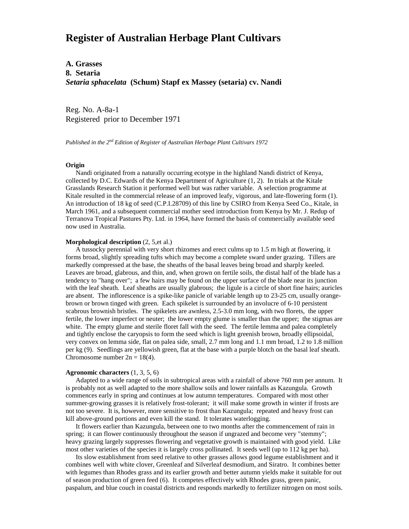# **Register of Australian Herbage Plant Cultivars**

## **A. Grasses 8. Setaria** *Setaria sphacelata* **(Schum) Stapf ex Massey (setaria) cv. Nandi**

Reg. No. A-8a-1 Registered prior to December 1971

*Published in the 2nd Edition of Register of Australian Herbage Plant Cultivars 1972*

#### **Origin**

 Nandi originated from a naturally occurring ecotype in the highland Nandi district of Kenya, collected by D.C. Edwards of the Kenya Department of Agriculture (1, 2). In trials at the Kitale Grasslands Research Station it performed well but was rather variable. A selection programme at Kitale resulted in the commercial release of an improved leafy, vigorous, and late-flowering form (1). An introduction of 18 kg of seed (C.P.I.28709) of this line by CSIRO from Kenya Seed Co., Kitale, in March 1961, and a subsequent commercial mother seed introduction from Kenya by Mr. J. Redup of Terranova Tropical Pastures Pty. Ltd. in 1964, have formed the basis of commercially available seed now used in Australia.

### **Morphological description** (2, 5,et al.)

 A tussocky perennial with very short rhizomes and erect culms up to 1.5 m high at flowering, it forms broad, slightly spreading tufts which may become a complete sward under grazing. Tillers are markedly compressed at the base, the sheaths of the basal leaves being broad and sharply keeled. Leaves are broad, glabrous, and thin, and, when grown on fertile soils, the distal half of the blade has a tendency to "hang over"; a few hairs may be found on the upper surface of the blade near its junction with the leaf sheath. Leaf sheaths are usually glabrous; the ligule is a circle of short fine hairs; auricles are absent. The inflorescence is a spike-like panicle of variable length up to 23-25 cm, usually orangebrown or brown tinged with green. Each spikelet is surrounded by an involucre of 6-10 persistent scabrous brownish bristles. The spikelets are awnless, 2.5-3.0 mm long, with two florets, the upper fertile, the lower imperfect or neuter; the lower empty glume is smaller than the upper; the stigmas are white. The empty glume and sterile floret fall with the seed. The fertile lemma and palea completely and tightly enclose the caryopsis to form the seed which is light greenish brown, broadly ellipsoidal, very convex on lemma side, flat on palea side, small, 2.7 mm long and 1.1 mm broad, 1.2 to 1.8 million per kg (9). Seedlings are yellowish green, flat at the base with a purple blotch on the basal leaf sheath. Chromosome number  $2n = 18(4)$ .

#### **Agronomic characters** (1, 3, 5, 6)

 Adapted to a wide range of soils in subtropical areas with a rainfall of above 760 mm per annum. It is probably not as well adapted to the more shallow soils and lower rainfalls as Kazungula. Growth commences early in spring and continues at low autumn temperatures. Compared with most other summer-growing grasses it is relatively frost-tolerant; it will make some growth in winter if frosts are not too severe. It is, however, more sensitive to frost than Kazungula; repeated and heavy frost can kill above-ground portions and even kill the stand. It tolerates waterlogging.

 It flowers earlier than Kazungula, between one to two months after the commencement of rain in spring; it can flower continuously throughout the season if ungrazed and become very "stemmy"; heavy grazing largely suppresses flowering and vegetative growth is maintained with good yield. Like most other varieties of the species it is largely cross pollinated. It seeds well (up to 112 kg per ha).

 Its slow establishment from seed relative to other grasses allows good legume establishment and it combines well with white clover, Greenleaf and Silverleaf desmodium, and Siratro. It combines better with legumes than Rhodes grass and its earlier growth and better autumn yields make it suitable for out of season production of green feed (6). It competes effectively with Rhodes grass, green panic, paspalum, and blue couch in coastal districts and responds markedly to fertilizer nitrogen on most soils.